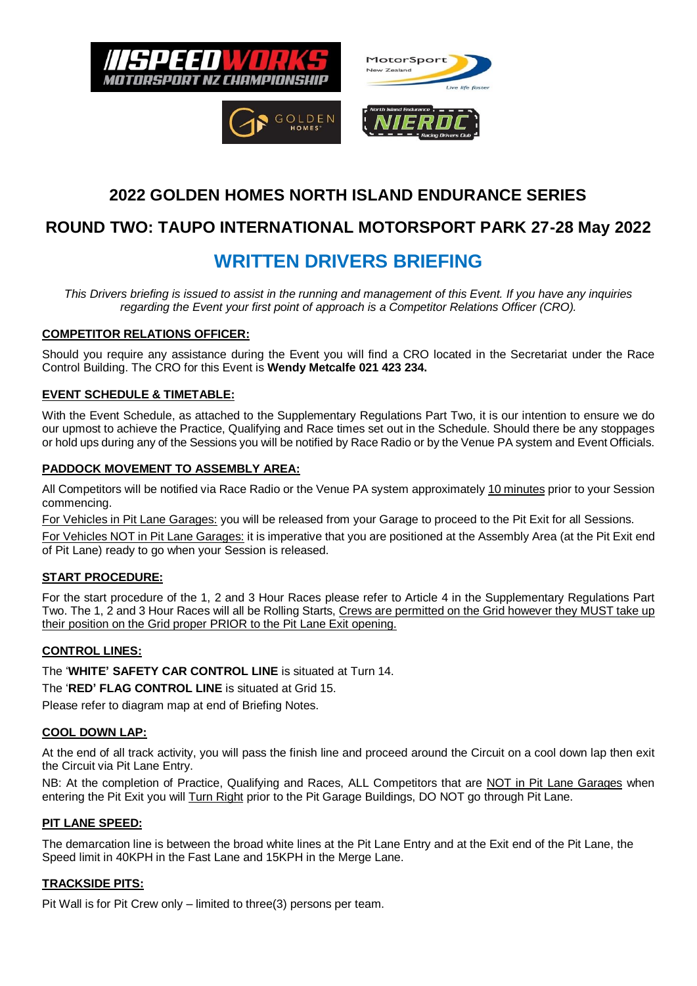





MotorSport

# **2022 GOLDEN HOMES NORTH ISLAND ENDURANCE SERIES**

## **ROUND TWO: TAUPO INTERNATIONAL MOTORSPORT PARK 27-28 May 2022**

# **WRITTEN DRIVERS BRIEFING**

*This Drivers briefing is issued to assist in the running and management of this Event. If you have any inquiries regarding the Event your first point of approach is a Competitor Relations Officer (CRO).*

#### **COMPETITOR RELATIONS OFFICER:**

Should you require any assistance during the Event you will find a CRO located in the Secretariat under the Race Control Building. The CRO for this Event is **Wendy Metcalfe 021 423 234.**

#### **EVENT SCHEDULE & TIMETABLE:**

With the Event Schedule, as attached to the Supplementary Regulations Part Two, it is our intention to ensure we do our upmost to achieve the Practice, Qualifying and Race times set out in the Schedule. Should there be any stoppages or hold ups during any of the Sessions you will be notified by Race Radio or by the Venue PA system and Event Officials.

#### **PADDOCK MOVEMENT TO ASSEMBLY AREA:**

All Competitors will be notified via Race Radio or the Venue PA system approximately 10 minutes prior to your Session commencing.

For Vehicles in Pit Lane Garages: you will be released from your Garage to proceed to the Pit Exit for all Sessions.

For Vehicles NOT in Pit Lane Garages: it is imperative that you are positioned at the Assembly Area (at the Pit Exit end of Pit Lane) ready to go when your Session is released.

#### **START PROCEDURE:**

For the start procedure of the 1, 2 and 3 Hour Races please refer to Article 4 in the Supplementary Regulations Part Two. The 1, 2 and 3 Hour Races will all be Rolling Starts, Crews are permitted on the Grid however they MUST take up their position on the Grid proper PRIOR to the Pit Lane Exit opening.

#### **CONTROL LINES:**

The '**WHITE' SAFETY CAR CONTROL LINE** is situated at Turn 14.

The '**RED' FLAG CONTROL LINE** is situated at Grid 15.

Please refer to diagram map at end of Briefing Notes.

#### **COOL DOWN LAP:**

At the end of all track activity, you will pass the finish line and proceed around the Circuit on a cool down lap then exit the Circuit via Pit Lane Entry.

NB: At the completion of Practice, Qualifying and Races, ALL Competitors that are NOT in Pit Lane Garages when entering the Pit Exit you will Turn Right prior to the Pit Garage Buildings, DO NOT go through Pit Lane.

#### **PIT LANE SPEED:**

The demarcation line is between the broad white lines at the Pit Lane Entry and at the Exit end of the Pit Lane, the Speed limit in 40KPH in the Fast Lane and 15KPH in the Merge Lane.

#### **TRACKSIDE PITS:**

Pit Wall is for Pit Crew only – limited to three(3) persons per team.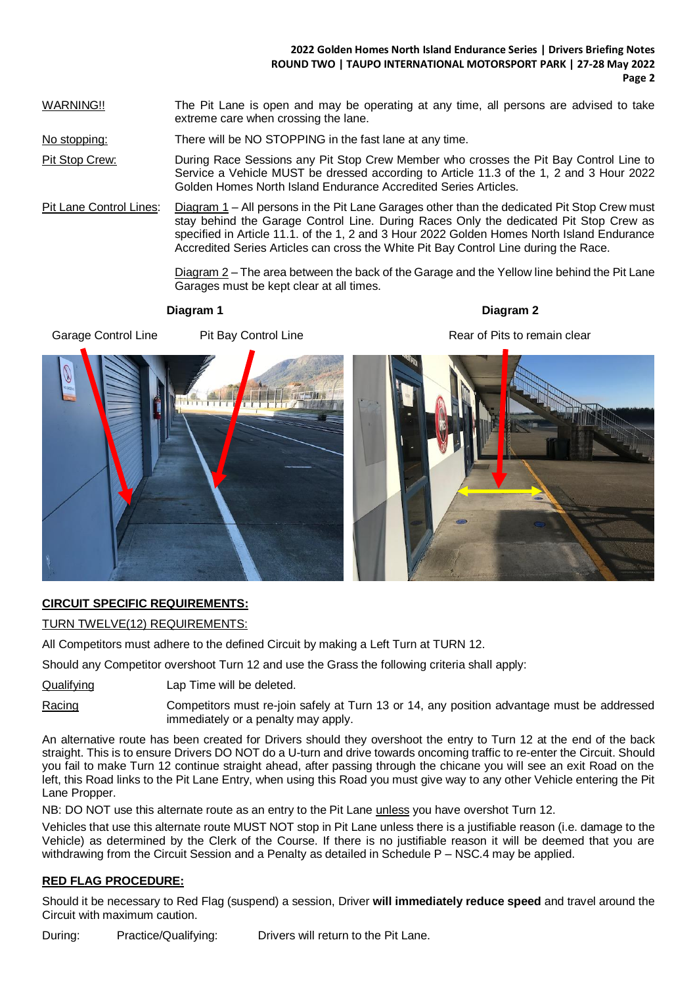#### **2022 Golden Homes North Island Endurance Series | Drivers Briefing Notes ROUND TWO | TAUPO INTERNATIONAL MOTORSPORT PARK | 27-28 May 2022 Page 2**

WARNING!! The Pit Lane is open and may be operating at any time, all persons are advised to take extreme care when crossing the lane.

No stopping: There will be NO STOPPING in the fast lane at any time.

Pit Stop Crew: During Race Sessions any Pit Stop Crew Member who crosses the Pit Bay Control Line to Service a Vehicle MUST be dressed according to Article 11.3 of the 1, 2 and 3 Hour 2022 Golden Homes North Island Endurance Accredited Series Articles.

Pit Lane Control Lines: Diagram 1 – All persons in the Pit Lane Garages other than the dedicated Pit Stop Crew must stay behind the Garage Control Line. During Races Only the dedicated Pit Stop Crew as specified in Article 11.1. of the 1, 2 and 3 Hour 2022 Golden Homes North Island Endurance Accredited Series Articles can cross the White Pit Bay Control Line during the Race.

> Diagram 2 – The area between the back of the Garage and the Yellow line behind the Pit Lane Garages must be kept clear at all times.

Garage Control Line Pit Bay Control Line Rear of Pits to remain clear

**Diagram 1 Diagram 2**



### **CIRCUIT SPECIFIC REQUIREMENTS:**

TURN TWELVE(12) REQUIREMENTS:

All Competitors must adhere to the defined Circuit by making a Left Turn at TURN 12.

Should any Competitor overshoot Turn 12 and use the Grass the following criteria shall apply:

Qualifying Lap Time will be deleted.

Racing Competitors must re-join safely at Turn 13 or 14, any position advantage must be addressed immediately or a penalty may apply.

An alternative route has been created for Drivers should they overshoot the entry to Turn 12 at the end of the back straight. This is to ensure Drivers DO NOT do a U-turn and drive towards oncoming traffic to re-enter the Circuit. Should you fail to make Turn 12 continue straight ahead, after passing through the chicane you will see an exit Road on the left, this Road links to the Pit Lane Entry, when using this Road you must give way to any other Vehicle entering the Pit Lane Propper.

NB: DO NOT use this alternate route as an entry to the Pit Lane unless you have overshot Turn 12.

Vehicles that use this alternate route MUST NOT stop in Pit Lane unless there is a justifiable reason (i.e. damage to the Vehicle) as determined by the Clerk of the Course. If there is no justifiable reason it will be deemed that you are withdrawing from the Circuit Session and a Penalty as detailed in Schedule P – NSC.4 may be applied.

#### **RED FLAG PROCEDURE:**

Should it be necessary to Red Flag (suspend) a session, Driver **will immediately reduce speed** and travel around the Circuit with maximum caution.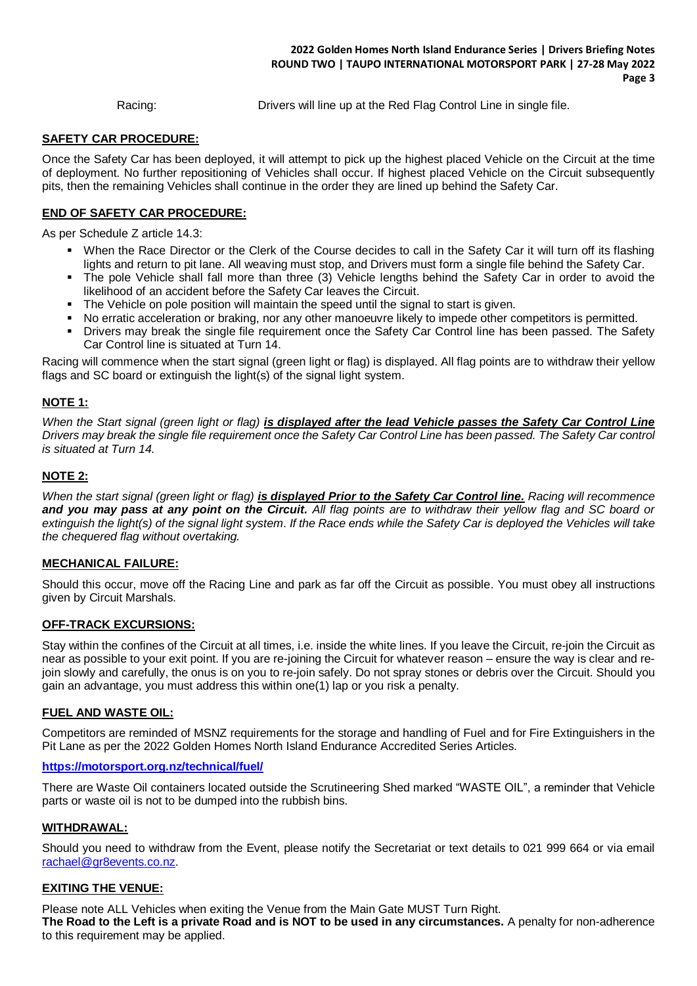Racing: Drivers will line up at the Red Flag Control Line in single file.

#### **SAFETY CAR PROCEDURE:**

Once the Safety Car has been deployed, it will attempt to pick up the highest placed Vehicle on the Circuit at the time of deployment. No further repositioning of Vehicles shall occur. If highest placed Vehicle on the Circuit subsequently pits, then the remaining Vehicles shall continue in the order they are lined up behind the Safety Car.

#### **END OF SAFETY CAR PROCEDURE:**

As per Schedule Z article 14.3:

- When the Race Director or the Clerk of the Course decides to call in the Safety Car it will turn off its flashing lights and return to pit lane. All weaving must stop, and Drivers must form a single file behind the Safety Car.
- The pole Vehicle shall fall more than three (3) Vehicle lengths behind the Safety Car in order to avoid the likelihood of an accident before the Safety Car leaves the Circuit.
- The Vehicle on pole position will maintain the speed until the signal to start is given.
- No erratic acceleration or braking, nor any other manoeuvre likely to impede other competitors is permitted.
- Drivers may break the single file requirement once the Safety Car Control line has been passed. The Safety Car Control line is situated at Turn 14.

Racing will commence when the start signal (green light or flag) is displayed. All flag points are to withdraw their yellow flags and SC board or extinguish the light(s) of the signal light system.

#### **NOTE 1:**

*When the Start signal (green light or flag) is displayed after the lead Vehicle passes the Safety Car Control Line Drivers may break the single file requirement once the Safety Car Control Line has been passed. The Safety Car control is situated at Turn 14.*

#### **NOTE 2:**

*When the start signal (green light or flag) is displayed Prior to the Safety Car Control line. Racing will recommence and you may pass at any point on the Circuit. All flag points are to withdraw their yellow flag and SC board or extinguish the light(s) of the signal light system*. *If the Race ends while the Safety Car is deployed the Vehicles will take the chequered flag without overtaking.*

#### **MECHANICAL FAILURE:**

Should this occur, move off the Racing Line and park as far off the Circuit as possible. You must obey all instructions given by Circuit Marshals.

#### **OFF-TRACK EXCURSIONS:**

Stay within the confines of the Circuit at all times, i.e. inside the white lines. If you leave the Circuit, re-join the Circuit as near as possible to your exit point. If you are re-joining the Circuit for whatever reason – ensure the way is clear and rejoin slowly and carefully, the onus is on you to re-join safely. Do not spray stones or debris over the Circuit. Should you gain an advantage, you must address this within one(1) lap or you risk a penalty.

#### **FUEL AND WASTE OIL:**

Competitors are reminded of MSNZ requirements for the storage and handling of Fuel and for Fire Extinguishers in the Pit Lane as per the 2022 Golden Homes North Island Endurance Accredited Series Articles.

#### **<https://motorsport.org.nz/technical/fuel/>**

There are Waste Oil containers located outside the Scrutineering Shed marked "WASTE OIL", a reminder that Vehicle parts or waste oil is not to be dumped into the rubbish bins.

#### **WITHDRAWAL:**

Should you need to withdraw from the Event, please notify the Secretariat or text details to 021 999 664 or via email [rachael@gr8events.co.nz.](mailto:rachael@gr8events.co.nz)

#### **EXITING THE VENUE:**

Please note ALL Vehicles when exiting the Venue from the Main Gate MUST Turn Right. **The Road to the Left is a private Road and is NOT to be used in any circumstances.** A penalty for non-adherence to this requirement may be applied.